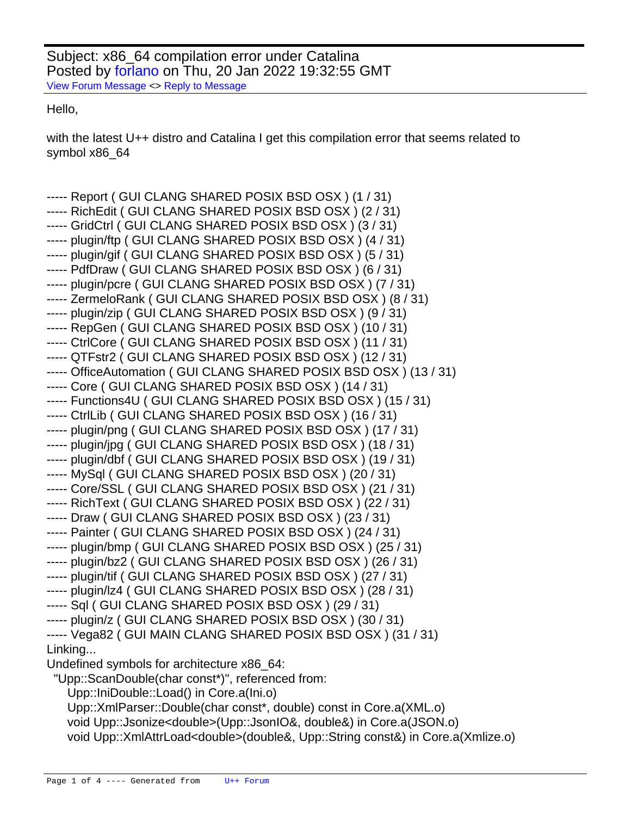Subject: x86\_64 compilation error under Catalina Posted by [forlano](https://www.ultimatepp.org/forums/index.php?t=usrinfo&id=112) on Thu, 20 Jan 2022 19:32:55 GMT [View Forum Message](https://www.ultimatepp.org/forums/index.php?t=rview&th=11736&goto=58027#msg_58027) <> [Reply to Message](https://www.ultimatepp.org/forums/index.php?t=post&reply_to=58027)

Hello,

with the latest U++ distro and Catalina I get this compilation error that seems related to symbol x86\_64

```
----- Report ( GUI CLANG SHARED POSIX BSD OSX ) (1 / 31)
----- RichEdit ( GUI CLANG SHARED POSIX BSD OSX ) (2 / 31)
----- GridCtrl ( GUI CLANG SHARED POSIX BSD OSX ) (3 / 31)
----- plugin/ftp ( GUI CLANG SHARED POSIX BSD OSX ) (4 / 31)
----- plugin/gif ( GUI CLANG SHARED POSIX BSD OSX ) (5 / 31)
----- PdfDraw ( GUI CLANG SHARED POSIX BSD OSX ) (6 / 31)
----- plugin/pcre ( GUI CLANG SHARED POSIX BSD OSX ) (7 / 31)
----- ZermeloRank ( GUI CLANG SHARED POSIX BSD OSX ) (8 / 31)
----- plugin/zip ( GUI CLANG SHARED POSIX BSD OSX ) (9 / 31)
----- RepGen ( GUI CLANG SHARED POSIX BSD OSX ) (10 / 31)
----- CtrlCore ( GUI CLANG SHARED POSIX BSD OSX ) (11 / 31)
----- QTFstr2 ( GUI CLANG SHARED POSIX BSD OSX ) (12 / 31)
----- OfficeAutomation ( GUI CLANG SHARED POSIX BSD OSX ) (13 / 31)
----- Core ( GUI CLANG SHARED POSIX BSD OSX ) (14 / 31)
----- Functions4U ( GUI CLANG SHARED POSIX BSD OSX ) (15 / 31)
----- CtrlLib ( GUI CLANG SHARED POSIX BSD OSX ) (16 / 31)
----- plugin/png ( GUI CLANG SHARED POSIX BSD OSX ) (17 / 31)
----- plugin/jpg ( GUI CLANG SHARED POSIX BSD OSX ) (18 / 31)
----- plugin/dbf ( GUI CLANG SHARED POSIX BSD OSX ) (19 / 31)
----- MySql ( GUI CLANG SHARED POSIX BSD OSX ) (20 / 31)
----- Core/SSL ( GUI CLANG SHARED POSIX BSD OSX ) (21 / 31)
----- RichText ( GUI CLANG SHARED POSIX BSD OSX ) (22 / 31)
----- Draw ( GUI CLANG SHARED POSIX BSD OSX ) (23 / 31)
----- Painter ( GUI CLANG SHARED POSIX BSD OSX ) (24 / 31)
----- plugin/bmp ( GUI CLANG SHARED POSIX BSD OSX ) (25 / 31)
----- plugin/bz2 ( GUI CLANG SHARED POSIX BSD OSX ) (26 / 31)
----- plugin/tif ( GUI CLANG SHARED POSIX BSD OSX ) (27 / 31)
----- plugin/lz4 ( GUI CLANG SHARED POSIX BSD OSX ) (28 / 31)
----- Sql ( GUI CLANG SHARED POSIX BSD OSX ) (29 / 31)
----- plugin/z ( GUI CLANG SHARED POSIX BSD OSX ) (30 / 31)
----- Vega82 ( GUI MAIN CLANG SHARED POSIX BSD OSX ) (31 / 31)
Linking...
Undefined symbols for architecture x86_64:
  "Upp::ScanDouble(char const*)", referenced from:
    Upp::IniDouble::Load() in Core.a(Ini.o)
    Upp::XmlParser::Double(char const*, double) const in Core.a(XML.o)
    void Upp::Jsonize<double>(Upp::JsonIO&, double&) in Core.a(JSON.o)
    void Upp::XmlAttrLoad<double>(double&, Upp::String const&) in Core.a(Xmlize.o)
```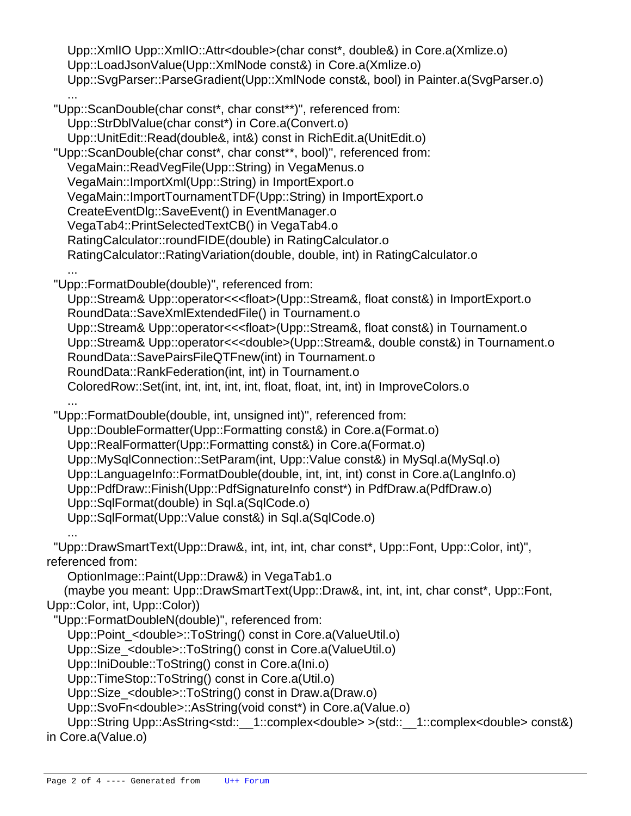Upp::XmlIO Upp::XmlIO::Attr<double>(char const\*, double&) in Core.a(Xmlize.o) Upp::LoadJsonValue(Upp::XmlNode const&) in Core.a(Xmlize.o) Upp::SvgParser::ParseGradient(Upp::XmlNode const&, bool) in Painter.a(SvgParser.o) ... "Upp::ScanDouble(char const\*, char const\*\*)", referenced from: Upp::StrDblValue(char const\*) in Core.a(Convert.o) Upp::UnitEdit::Read(double&, int&) const in RichEdit.a(UnitEdit.o) "Upp::ScanDouble(char const\*, char const\*\*, bool)", referenced from: VegaMain::ReadVegFile(Upp::String) in VegaMenus.o VegaMain::ImportXml(Upp::String) in ImportExport.o VegaMain::ImportTournamentTDF(Upp::String) in ImportExport.o CreateEventDlg::SaveEvent() in EventManager.o VegaTab4::PrintSelectedTextCB() in VegaTab4.o RatingCalculator::roundFIDE(double) in RatingCalculator.o RatingCalculator::RatingVariation(double, double, int) in RatingCalculator.o ... "Upp::FormatDouble(double)", referenced from: Upp::Stream& Upp::operator<<<float>(Upp::Stream&, float const&) in ImportExport.o RoundData::SaveXmlExtendedFile() in Tournament.o Upp::Stream& Upp::operator<<<float>(Upp::Stream&, float const&) in Tournament.o Upp::Stream& Upp::operator<<<double>(Upp::Stream&, double const&) in Tournament.o RoundData::SavePairsFileQTFnew(int) in Tournament.o RoundData::RankFederation(int, int) in Tournament.o ColoredRow::Set(int, int, int, int, int, float, float, int, int) in ImproveColors.o ... "Upp::FormatDouble(double, int, unsigned int)", referenced from: Upp::DoubleFormatter(Upp::Formatting const&) in Core.a(Format.o) Upp::RealFormatter(Upp::Formatting const&) in Core.a(Format.o) Upp::MySqlConnection::SetParam(int, Upp::Value const&) in MySql.a(MySql.o) Upp::LanguageInfo::FormatDouble(double, int, int, int) const in Core.a(LangInfo.o) Upp::PdfDraw::Finish(Upp::PdfSignatureInfo const\*) in PdfDraw.a(PdfDraw.o) Upp::SqlFormat(double) in Sql.a(SqlCode.o) Upp::SqlFormat(Upp::Value const&) in Sql.a(SqlCode.o) ... "Upp::DrawSmartText(Upp::Draw&, int, int, int, char const\*, Upp::Font, Upp::Color, int)", referenced from: OptionImage::Paint(Upp::Draw&) in VegaTab1.o (maybe you meant: Upp::DrawSmartText(Upp::Draw&, int, int, int, char const\*, Upp::Font, Upp::Color, int, Upp::Color)) "Upp::FormatDoubleN(double)", referenced from: Upp::Point <double>::ToString() const in Core.a(ValueUtil.o) Upp::Size\_<double>::ToString() const in Core.a(ValueUtil.o) Upp::IniDouble::ToString() const in Core.a(Ini.o) Upp::TimeStop::ToString() const in Core.a(Util.o) Upp::Size\_<double>::ToString() const in Draw.a(Draw.o) Upp::SvoFn<double>::AsString(void const\*) in Core.a(Value.o) Upp::String Upp::AsString<std:: \_1::complex<double> >(std:: \_1::complex<double> const&) in Core.a(Value.o)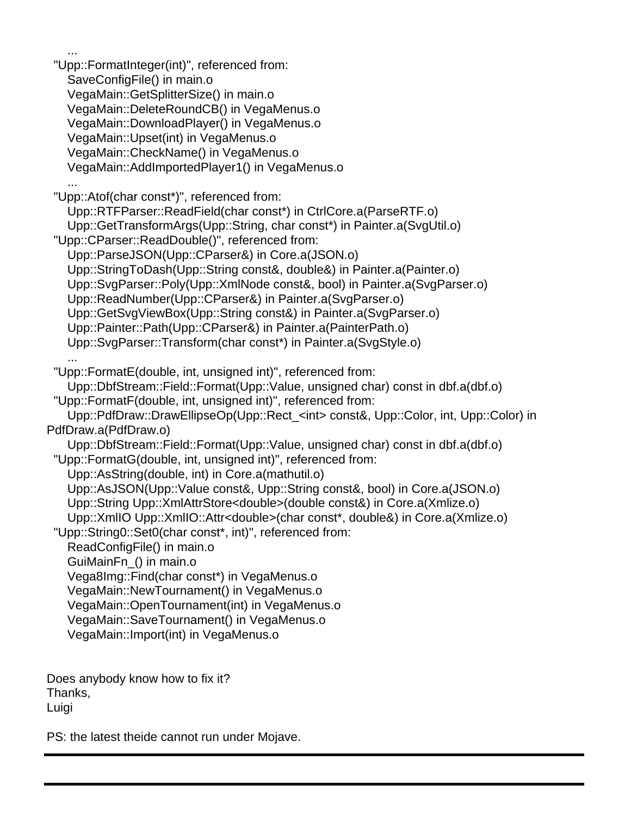"Upp::FormatInteger(int)", referenced from: SaveConfigFile() in main.o VegaMain::GetSplitterSize() in main.o VegaMain::DeleteRoundCB() in VegaMenus.o VegaMain::DownloadPlayer() in VegaMenus.o VegaMain::Upset(int) in VegaMenus.o VegaMain::CheckName() in VegaMenus.o VegaMain::AddImportedPlayer1() in VegaMenus.o ... "Upp::Atof(char const\*)", referenced from: Upp::RTFParser::ReadField(char const\*) in CtrlCore.a(ParseRTF.o) Upp::GetTransformArgs(Upp::String, char const\*) in Painter.a(SvgUtil.o) "Upp::CParser::ReadDouble()", referenced from: Upp::ParseJSON(Upp::CParser&) in Core.a(JSON.o) Upp::StringToDash(Upp::String const&, double&) in Painter.a(Painter.o) Upp::SvgParser::Poly(Upp::XmlNode const&, bool) in Painter.a(SvgParser.o) Upp::ReadNumber(Upp::CParser&) in Painter.a(SvgParser.o) Upp::GetSvgViewBox(Upp::String const&) in Painter.a(SvgParser.o) Upp::Painter::Path(Upp::CParser&) in Painter.a(PainterPath.o) Upp::SvgParser::Transform(char const\*) in Painter.a(SvgStyle.o) ... "Upp::FormatE(double, int, unsigned int)", referenced from: Upp::DbfStream::Field::Format(Upp::Value, unsigned char) const in dbf.a(dbf.o) "Upp::FormatF(double, int, unsigned int)", referenced from: Upp::PdfDraw::DrawEllipseOp(Upp::Rect\_<int> const&, Upp::Color, int, Upp::Color) in PdfDraw.a(PdfDraw.o) Upp::DbfStream::Field::Format(Upp::Value, unsigned char) const in dbf.a(dbf.o) "Upp::FormatG(double, int, unsigned int)", referenced from: Upp::AsString(double, int) in Core.a(mathutil.o) Upp::AsJSON(Upp::Value const&, Upp::String const&, bool) in Core.a(JSON.o) Upp::String Upp::XmlAttrStore<double>(double const&) in Core.a(Xmlize.o) Upp::XmlIO Upp::XmlIO::Attr<double>(char const\*, double&) in Core.a(Xmlize.o) "Upp::String0::Set0(char const\*, int)", referenced from: ReadConfigFile() in main.o GuiMainFn\_() in main.o Vega8Img::Find(char const\*) in VegaMenus.o VegaMain::NewTournament() in VegaMenus.o VegaMain::OpenTournament(int) in VegaMenus.o VegaMain::SaveTournament() in VegaMenus.o VegaMain::Import(int) in VegaMenus.o

Does anybody know how to fix it? Thanks, Luigi

...

PS: the latest theide cannot run under Mojave.